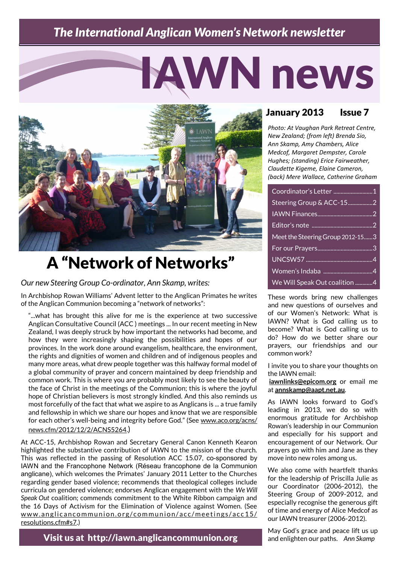## *The International Anglican Women's Network newsletter*

# IAWN news



# A "Network of Networks"

*Our new Steering Group Co-ordinator, Ann Skamp, writes:*

In Archbishop Rowan Williams' Advent letter to the Anglican Primates he writes of the Anglican Communion becoming a "network of networks":

"...what has brought this alive for me is the experience at two successive Anglican Consultative Council (ACC ) meetings ... In our recent meeting in New Zealand, I was deeply struck by how important the networks had become, and how they were increasingly shaping the possibilities and hopes of our provinces. In the work done around evangelism, healthcare, the environment, the rights and dignities of women and children and of indigenous peoples and many more areas, what drew people together was this halfway formal model of a global community of prayer and concern maintained by deep friendship and common work. This is where you are probably most likely to see the beauty of the face of Christ in the meetings of the Communion; this is where the joyful hope of Christian believers is most strongly kindled. And this also reminds us most forcefully of the fact that what we aspire to as Anglicans is ... a true family and fellowship in which we share our hopes and know that we are responsible for each other's well-being and integrity before God." (See [www.aco.org/acns/](http://www.aco.org/acns/news.cfm/2012/12/2/ACNS5264) [news.cfm/2012/12/2/ACNS5264.](http://www.aco.org/acns/news.cfm/2012/12/2/ACNS5264))

At ACC-15, Archbishop Rowan and Secretary General Canon Kenneth Kearon highlighted the substantive contribution of IAWN to the mission of the church. This was reflected in the passing of Resolution ACC 15.07, co-sponsored by IAWN and the Francophone Network (Réseau francophone de la Communion anglicane), which welcomes the Primates' January 2011 Letter to the Churches regarding gender based violence; recommends that theological colleges include curricula on gendered violence; endorses Anglican engagement with the *We Will Speak Out* coalition; commends commitment to the White Ribbon campaign and the 16 Days of Activism for the Elimination of Violence against Women. (See www.anglicancommunion.org/communion/acc/meetings/acc15/ [resolutions.cfm#s7.\)](http://www.anglicancommunion.org/communion/acc/meetings/acc15/resolutions.cfm#s7)

Visit us at http://iawn.anglicancommunion.org

### January 2013 Issue 7

*Photo: At Vaughan Park Retreat Centre, New Zealand; (from left) Brenda Sio, Ann Skamp, Amy Chambers, Alice Medcof, Margaret Dempster, Carole Hughes; (standing) Erice Fairweather, Claudette Kigeme, Elaine Cameron, (back) Mere Wallace, Catherine Graham*

| Coordinator's Letter 1           |
|----------------------------------|
|                                  |
|                                  |
|                                  |
| Meet the Steering Group 2012-153 |
|                                  |
|                                  |
|                                  |
| We Will Speak Out coalition 4    |

These words bring new challenges and new questions of ourselves and of our Women's Network: What is IAWN? What is God calling us to become? What is God calling us to do? How do we better share our prayers, our friendships and our common work?

I invite you to share your thoughts on the IAWN email:

**[iawnlinks@epicom.org](mailto:iawnlinks@epicom.org)** or email me at **[annskamp@aapt.net.au](mailto:annskamp@aapt.net.au)**.

As IAWN looks forward to God's leading in 2013, we do so with enormous gratitude for Archbishop Rowan's leadership in our Communion and especially for his support and encouragement of our Network. Our prayers go with him and Jane as they move into new roles among us.

We also come with heartfelt thanks for the leadership of Priscilla Julie as our Coordinator (2006-2012), the Steering Group of 2009-2012, and especially recognise the generous gift of time and energy of Alice Medcof as our IAWN treasurer (2006-2012).

May God's grace and peace lift us up and enlighten our paths. *Ann Skamp*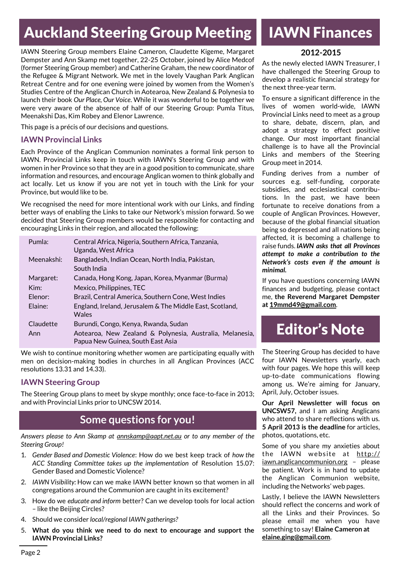# Auckland Steering Group Meeting

IAWN Steering Group members Elaine Cameron, Claudette Kigeme, Margaret Dempster and Ann Skamp met together, 22-25 October, joined by Alice Medcof (former Steering Group member) and Catherine Graham, the new coordinator of the Refugee & Migrant Network. We met in the lovely Vaughan Park Anglican Retreat Centre and for one evening were joined by women from the Women's Studies Centre of the Anglican Church in Aotearoa, New Zealand & Polynesia to launch their book *Our Place, Our Voice*. While it was wonderful to be together we were very aware of the absence of half of our Steering Group: Pumla Titus, Meenakshi Das, Kim Robey and Elenor Lawrence.

This page is a précis of our decisions and questions.

#### **IAWN Provincial Links**

Each Province of the Anglican Communion nominates a formal link person to IAWN. Provincial Links keep in touch with IAWN's Steering Group and with women in her Province so that they are in a good position to communicate, share information and resources, and encourage Anglican women to think globally and act locally. Let us know if you are not yet in touch with the Link for your Province, but would like to be.

We recognised the need for more intentional work with our Links, and finding better ways of enabling the Links to take our Network's mission forward. So we decided that Steering Group members would be responsible for contacting and encouraging Links in their region, and allocated the following:

| Pumla:     | Central Africa, Nigeria, Southern Africa, Tanzania,<br>Uganda, West Africa                    |
|------------|-----------------------------------------------------------------------------------------------|
| Meenakshi: | Bangladesh, Indian Ocean, North India, Pakistan,<br>South India                               |
| Margaret:  | Canada, Hong Kong, Japan, Korea, Myanmar (Burma)                                              |
| Kim:       | Mexico, Philippines, TEC                                                                      |
| Flenor:    | Brazil, Central America, Southern Cone, West Indies                                           |
| Elaine:    | England, Ireland, Jerusalem & The Middle East, Scotland,<br>Wales                             |
| Claudette  | Burundi, Congo, Kenya, Rwanda, Sudan                                                          |
| Ann        | Aotearoa, New Zealand & Polynesia, Australia, Melanesia,<br>Papua New Guinea, South East Asia |

We wish to continue monitoring whether women are participating equally with men on decision-making bodies in churches in all Anglican Provinces (ACC resolutions 13.31 and 14.33).

#### **IAWN Steering Group**

The Steering Group plans to meet by skype monthly; once face-to-face in 2013; and with Provincial Links prior to UNCSW 2014.

## **Some questions for you!**

*Answers please to Ann Skamp at [annskamp@aapt.net.au](mailto:annskamp@aapt.net.au) or to any member of the Steering Group!*

- 1. *Gender Based and Domestic Violence*: How do we best keep track of *how the ACC Standing Committee takes up the implementation* of Resolution 15.07: Gender Based and Domestic Violence?
- 2. *IAWN Visibility:* How can we make IAWN better known so that women in all congregations around the Communion are caught in its excitement?
- 3. How do we *educate and inform* better? Can we develop tools for local action – like the Beijing Circles?
- 4. Should we consider *local/regional IAWN gatherings?*
- 5. **What do you think we need to do next to encourage and support the IAWN Provincial Links?**

## IAWN Finances

#### **2012-2015**

As the newly elected IAWN Treasurer, I have challenged the Steering Group to develop a realistic financial strategy for the next three-year term.

To ensure a significant difference in the lives of women world-wide, IAWN Provincial Links need to meet as a group to share, debate, discern, plan, and adopt a strategy to effect positive change. Our most important financial challenge is to have all the Provincial Links and members of the Steering Group meet in 2014.

Funding derives from a number of sources e.g. self-funding, corporate subsidies, and ecclesiastical contributions. In the past, we have been fortunate to receive donations from a couple of Anglican Provinces. However, because of the global financial situation being so depressed and all nations being affected, it is becoming a challenge to raise funds. *IAWN asks that all Provinces attempt to make a contribution to the Network's costs even if the amount is minimal.*

If you have questions concerning IAWN finances and budgeting, please contact me, **the Reverend Margaret Dempster at [19mmd49@gmail.com](mailto:19mmd49@gmail.com)**.

## Editor's Note

The Steering Group has decided to have four IAWN Newsletters yearly, each with four pages. We hope this will keep up-to-date communications flowing among us. We're aiming for January, April, July, October issues.

**Our April Newsletter will focus on UNCSW57,** and I am asking Anglicans who attend to share reflections with us. **5 April 2013 is the deadline** for articles, photos, quotations, etc.

Some of you share my anxieties about the IAWN website at  $http://$ iawn.anglicancommunion.org – please be patient. Work is in hand to update the Anglican Communion website, including the Networks' web pages.

Lastly, I believe the IAWN Newsletters should reflect the concerns and work of all the Links and their Provinces. So please email me when you have something to say! **Elaine Cameron at [elaine.ging@gmail.com](mailto:elaine.ging@gmail.com)**.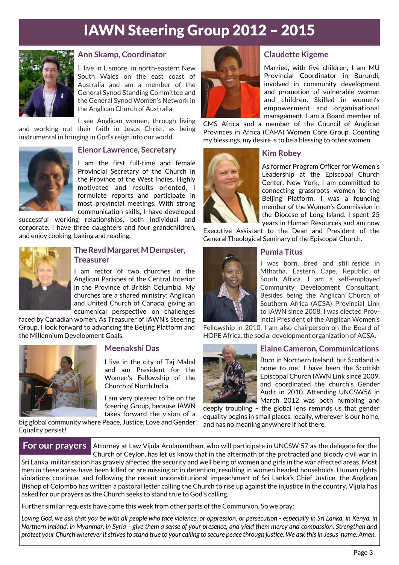# IAWN Steering Group 2012 – 2015



#### **Ann Skamp, Coordinator**

I live in Lismore, in north-eastern New South Wales on the east coast of Australia and am a member of the General Synod Standing Committee and the General Synod Women's Network in the Anglican Church of Australia.

I see Anglican women, through living and working out their faith in Jesus Christ, as being instrumental in bringing in God's reign into our world.



#### **Elenor Lawrence, Secretary**

I am the first full-time and female Provincial Secretary of the Church in the Province of the West Indies. Highly motivated and results oriented, I formulate reports and participate in most provincial meetings. With strong communication skills, I have developed

successful working relationships, both individual and corporate. I have three daughters and four grandchildren, and enjoy cooking, baking and reading.



#### **The Revd Margaret M Dempster, Treasurer**

I am rector of two churches in the Anglican Parishes of the Central Interior in the Province of British Columbia. My churches are a shared ministry; Anglican and United Church of Canada, giving an ecumenical perspective on challenges

faced by Canadian women. As Treasurer of IAWN's Steering Group, I look forward to advancing the Beijing Platform and the Millennium Development Goals.



#### **Meenakshi Das**

I live in the city of Taj Mahal and am President for the Women's Fellowship of the Church of North India.

I am very pleased to be on the Steering Group, because IAWN takes forward the vision of a

big global community where Peace, Justice, Love and Gender Equality persist!



#### **Claudette Kigeme**

Married, with five children, I am MU Provincial Coordinator in Burundi, involved in community development and promotion of vulnerable women and children. Skilled in women's empowerment and organisational management, I am a Board member of

CMS Africa and a member of the Council of Anglican Provinces in Africa (CAPA) Women Core Group. Counting my blessings, my desire is to be a blessing to other women.



#### **Kim Robey**

As former Program Officer for Women's Leadership at the Episcopal Church Center, New York, I am committed to connecting grassroots women to the Beijing Platform. I was a founding member of the Women's Commission in the Diocese of Long Island. I spent 25 years in Human Resources and am now

Executive Assistant to the Dean and President of the General Theological Seminary of the Episcopal Church.



#### **Pumla Titus**

I was born, bred and still reside in Mthatha, Eastern Cape, Republic of South Africa. I am a self-employed Community Development Consultant. Besides being the Anglican Church of Southern Africa (ACSA) Provincial Link to IAWN since 2008, I was elected Provincial President of the Anglican Women's

Fellowship in 2010. I am also chairperson on the Board of HOPE Africa, the social development organization of ACSA.



#### **Elaine Cameron, Communications**

Born in Northern Ireland, but Scotland is home to me! I have been the Scottish Episcopal Church IAWN Link since 2009, and coordinated the church's Gender Audit in 2010. Attending UNCSW56 in March 2012 was both humbling and

deeply troubling – the global lens reminds us that gender equality begins in small places, locally, wherever is our home, and has no meaning anywhere if not there.

Attorney at Law Vijula Arulanantham, who will participate in UNCSW 57 as the delegate for the Church of Ceylon, has let us know that in the aftermath of the protracted and bloody civil war in **For our prayers**

Sri Lanka, militarisation has gravely affected the security and well being of women and girls in the war affected areas. Most men in these areas have been killed or are missing or in detention, resulting in women headed households. Human rights violations continue, and following the recent unconstitutional impeachment of Sri Lanka's Chief Justice, the Anglican Bishop of Colombo has written a pastoral letter calling the Church to rise up against the injustice in the country. Vijula has asked for our prayers as the Church seeks to stand true to God's calling.

Further similar requests have come this week from other parts of the Communion. So we pray:

*Loving God, we ask that you be with all people who face violence, or oppression, or persecution - especially in Sri Lanka, in Kenya, in Northern Ireland, in Myanmar, in Syria – give them a sense of your presence, and yield them mercy and compassion. Strengthen and protect your Church wherever it strives to stand true to your calling to secure peace through justice. We ask this in Jesus' name*. *Amen.*